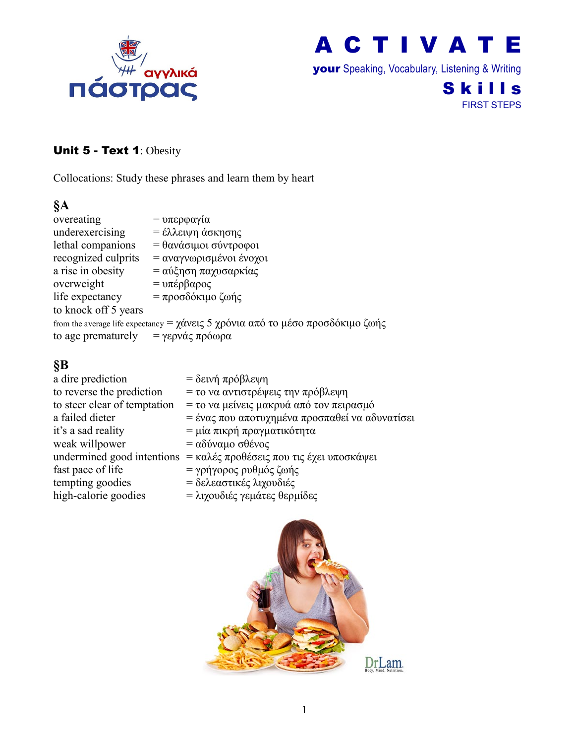

your Speaking, Vocabulary, Listening & Writing

#### **Skills** FIRST STEPS

#### Unit 5 - Text 1: Obesity

Collocations: Study these phrases and learn them by heart

#### **§A**

overeating  $= υπερφαγία$ underexercising  $=$  έλλειψη άσκησης lethal companions =  $\theta$ ανάσιμοι σύντροφοι recognized culprits = αναγνωρισμένοι ένοχοι a rise in obesity =  $\alpha$ ύξηση παχυσαρκίας overweight =  $υπέρβαρος$ life expectancy = προσδόκιμο ζωής to knock off 5 years from the average life expectancy =  $\gamma \acute{\alpha}$ νεις 5 χρόνια από το μέσο προσδόκιμο ζωής to age prematurely = γερνάς πρόωρα

#### **§B**

| a dire prediction            | = δεινή πρόβλεψη                                                                   |
|------------------------------|------------------------------------------------------------------------------------|
| to reverse the prediction    | = το να αντιστρέψεις την πρόβλεψη                                                  |
| to steer clear of temptation | = το να μείνεις μακρυά από τον πειρασμό                                            |
| a failed dieter              | = ένας που αποτυχημένα προσπαθεί να αδυνατίσει                                     |
| it's a sad reality           | = μία πικρή πραγματικότητα                                                         |
| weak willpower               | $= \alpha \delta \omega \alpha \mu \sigma \sigma \theta \epsilon \nu \sigma \zeta$ |
|                              | undermined good intentions = καλές προθέσεις που τις έχει υποσκάψει                |
| fast pace of life            | = γρήγορος ρυθμός ζωής                                                             |
| tempting goodies             | = δελεαστικές λιχουδιές                                                            |
| high-calorie goodies         | = λιχουδιές γεμάτες θερμίδες                                                       |
|                              |                                                                                    |

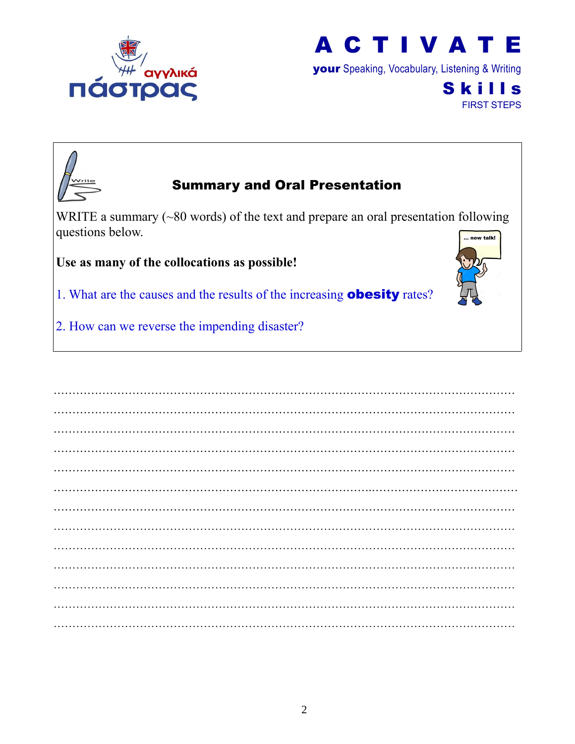

your Speaking, Vocabulary, Listening & Writing

**Skills** FIRST STEPS



## Summary and Oral Presentation

WRITE a summary (~80 words) of the text and prepare an oral presentation following questions below. w falk!

**Use as many of the collocations as possible!**

- 1. What are the causes and the results of the increasing **obesity** rates?
- 2. How can we reverse the impending disaster?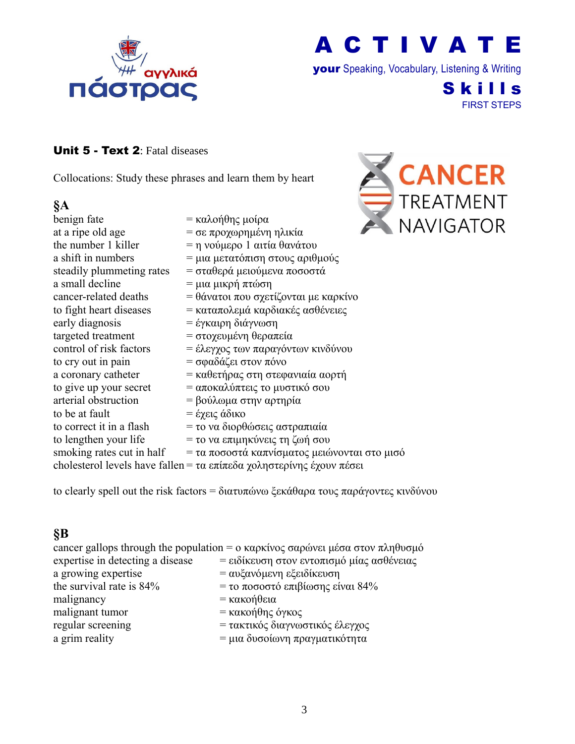

your Speaking, Vocabulary, Listening & Writing

**Skills** FIRST STEPS

#### Unit 5 - Text 2: Fatal diseases

Collocations: Study these phrases and learn them by heart

#### **§A**

| benign fate               | = καλοήθης μοίρα                                                     |
|---------------------------|----------------------------------------------------------------------|
| at a ripe old age         | = σε προχωρημένη ηλικία                                              |
| the number 1 killer       | = η νούμερο 1 αιτία θανάτου                                          |
| a shift in numbers        | = μια μετατόπιση στους αριθμούς                                      |
| steadily plummeting rates | = σταθερά μειούμενα ποσοστά                                          |
| a small decline           | = μια μικρή πτώση                                                    |
| cancer-related deaths     | = θάνατοι που σχετίζονται με καρκίνο                                 |
| to fight heart diseases   | = καταπολεμά καρδιακές ασθένειες                                     |
| early diagnosis           | = έγκαιρη διάγνωση                                                   |
| targeted treatment        | = στοχευμένη θεραπεία                                                |
| control of risk factors   | = έλεγχος των παραγόντων κινδύνου                                    |
| to cry out in pain        | = σφαδάζει στον πόνο                                                 |
| a coronary catheter       | = καθετήρας στη στεφανιαία αορτή                                     |
| to give up your secret    | = αποκαλύπτεις το μυστικό σου                                        |
| arterial obstruction      | = βούλωμα στην αρτηρία                                               |
| to be at fault            | = έχεις άδικο                                                        |
| to correct it in a flash  | = το να διορθώσεις αστραπιαία                                        |
| to lengthen your life     | = το να επιμηκύνεις τη ζωή σου                                       |
| smoking rates cut in half | = τα ποσοστά καπνίσματος μειώνονται στο μισό                         |
|                           | cholesterol levels have fallen = τα επίπεδα χοληστερίνης έχουν πέσει |

to clearly spell out the risk factors = διατυπώνω ξεκάθαρα τους παράγοντες κινδύνου

#### **§B**

|                                  | cancer gallops through the population = ο καρκίνος σαρώνει μέσα στον πληθυσμό |
|----------------------------------|-------------------------------------------------------------------------------|
| expertise in detecting a disease | = ειδίκευση στον εντοπισμό μίας ασθένειας                                     |
| a growing expertise              | = αυξανόμενη εξειδίκευση                                                      |
| the survival rate is 84%         | = το ποσοστό επιβίωσης είναι 84%                                              |
| malignancy                       | $=$ κακοήθεια                                                                 |
| malignant tumor                  | = κακοήθης όγκος                                                              |
| regular screening                | = τακτικός διαγνωστικός έλεγχος                                               |
| a grim reality                   | = μια δυσοίωνη πραγματικότητα                                                 |

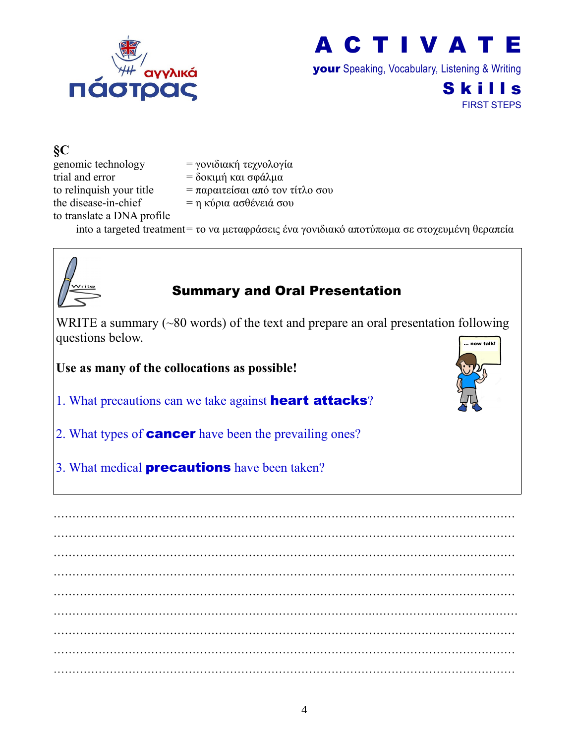

your Speaking, Vocabulary, Listening & Writing

Skills FIRST STEPS

**§C** genomic technology = γονιδιακή τεχνολογία trial and error  $= \delta$ οκιμή και σφάλμα to relinquish your title  $= \pi \alpha \rho \alpha \pi \epsilon$  (σε από τον τίτλο σου the disease-in-chief  $= \eta \kappa \omega_0 \alpha \alpha \sigma \theta$ ένειά σου to translate a DNA profile into a targeted treatment= το να μεταφράσεις ένα γονιδιακό αποτύπωμα σε στοχευμένη θεραπεία



# Summary and Oral Presentation

WRITE a summary (~80 words) of the text and prepare an oral presentation following questions below. now talk!

**Use as many of the collocations as possible!**

1. What precautions can we take against **heart attacks**?

2. What types of **cancer** have been the prevailing ones?

3. What medical **precautions** have been taken?

…………………………………………………………………………………………………………… …………………………………………………………………………………………………………… …………………………………………………………………………………………………………… …………………………………………………………………………………………………………… …………………………………………………………………………………………………………… ………………………………………………………………………….………………………………… …………………………………………………………………………………………………………… …………………………………………………………………………………………………………… ……………………………………………………………………………………………………………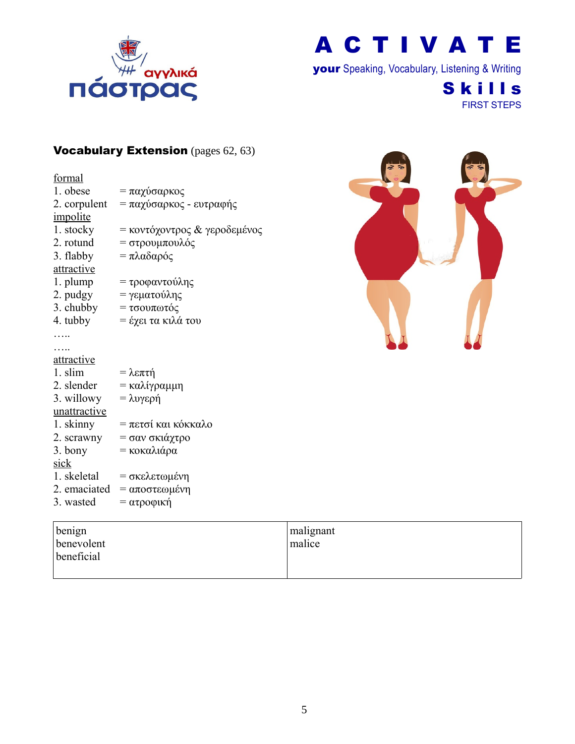

your Speaking, Vocabulary, Listening & Writing

**Skills** FIRST STEPS

#### Vocabulary Extension (pages 62, 63)

| formal            |                              |
|-------------------|------------------------------|
| 1. obese          | = παχύσαρκος                 |
| 2. corpulent      | = παχύσαρκος - ευτραφής      |
| impolite          |                              |
| 1. stocky         | = κοντόχοντρος & γεροδεμένος |
| 2. rotund         | = στρουμπουλός               |
| 3. flabby         | = πλαδαρός                   |
| attractive        |                              |
| 1. plump          | = τροφαντούλης               |
| 2. pudgy          | = γεματούλης                 |
| 3. chubby         | = τσουπωτός                  |
| 4. tubby          | = έχει τα κιλά του           |
|                   |                              |
|                   |                              |
| <u>attractive</u> |                              |
| 1. slim           | = λεπτή                      |
| 2. slender        | = καλίγραμμη                 |
| 3. willowy        | = λυγερή                     |
| unattractive      |                              |
| 1. skinny         | = πετσί και κόκκαλο          |
| 2. scrawny        | = σαν σκιάχτρο               |
| 3. bony           | = κοκαλιάρα                  |
| sick              |                              |
| 1. skeletal       | = σκελετωμένη                |
| 2. emaciated      | = αποστεωμένη                |
| 3. wasted         | = ατροφική                   |
|                   |                              |

| $\Rightarrow$<br>G | る<br>Ø, |
|--------------------|---------|
|                    |         |
|                    |         |
|                    |         |
|                    |         |

| benign     | malignant |
|------------|-----------|
| benevolent | malice    |
| beneficial |           |
|            |           |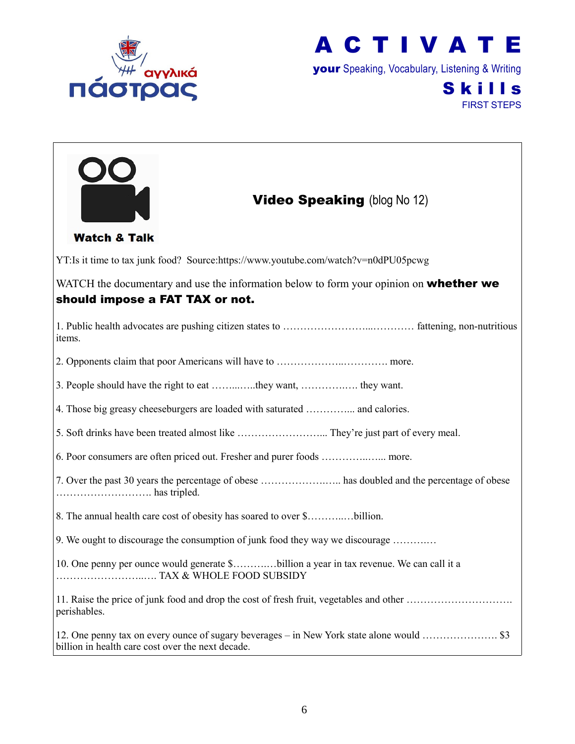



your Speaking, Vocabulary, Listening & Writing

## **Skills** FIRST STEPS

| <b>Video Speaking (blog No 12)</b>                                                                                               |
|----------------------------------------------------------------------------------------------------------------------------------|
| <b>Watch &amp; Talk</b>                                                                                                          |
| YT:Is it time to tax junk food? Source:https://www.youtube.com/watch?v=n0dPU05pcwg                                               |
| WATCH the documentary and use the information below to form your opinion on <b>whether we</b><br>should impose a FAT TAX or not. |
| items.                                                                                                                           |
|                                                                                                                                  |
| 3. People should have the right to eat they want,  they want.                                                                    |
| 4. Those big greasy cheeseburgers are loaded with saturated  and calories.                                                       |
|                                                                                                                                  |
| 6. Poor consumers are often priced out. Fresher and purer foods  more.                                                           |
| 7. Over the past 30 years the percentage of obese  has doubled and the percentage of obese                                       |
| 8. The annual health care cost of obesity has soared to over \$billion.                                                          |
| 9. We ought to discourage the consumption of junk food they way we discourage                                                    |
| 10. One penny per ounce would generate \$billion a year in tax revenue. We can call it a                                         |
| perishables.                                                                                                                     |
| billion in health care cost over the next decade.                                                                                |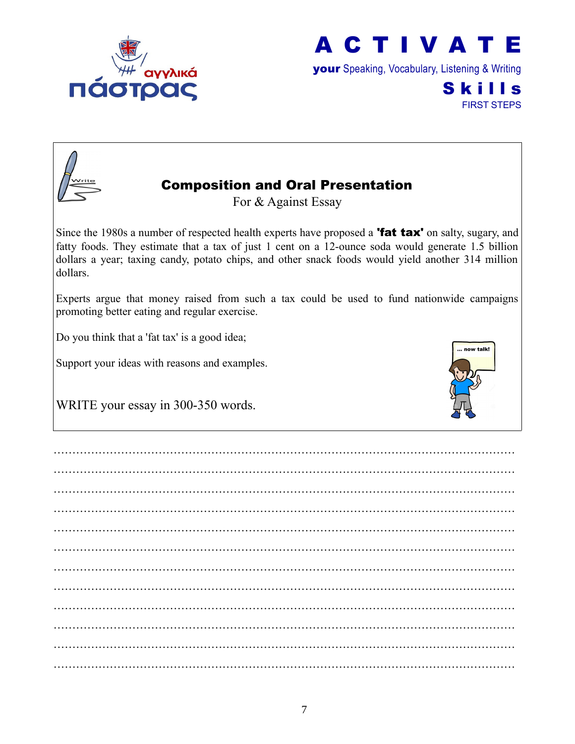



your Speaking, Vocabulary, Listening & Writing

**Skills** FIRST STEPS



# Composition and Oral Presentation

For & Against Essay

Since the 1980s a number of respected health experts have proposed a **'fat tax'** on salty, sugary, and fatty foods. They estimate that a tax of just 1 cent on a 12-ounce soda would generate 1.5 billion dollars a year; taxing candy, potato chips, and other snack foods would yield another 314 million dollars.

Experts argue that money raised from such a tax could be used to fund nationwide campaigns promoting better eating and regular exercise.

Do you think that a 'fat tax' is a good idea;

Support your ideas with reasons and examples.



WRITE your essay in 300-350 words.

…………………………………………………………………………………………………………… …………………………………………………………………………………………………………… …………………………………………………………………………………………………………… …………………………………………………………………………………………………………… …………………………………………………………………………………………………………… …………………………………………………………………………………………………………… …………………………………………………………………………………………………………… …………………………………………………………………………………………………………… …………………………………………………………………………………………………………… …………………………………………………………………………………………………………… …………………………………………………………………………………………………………… ……………………………………………………………………………………………………………